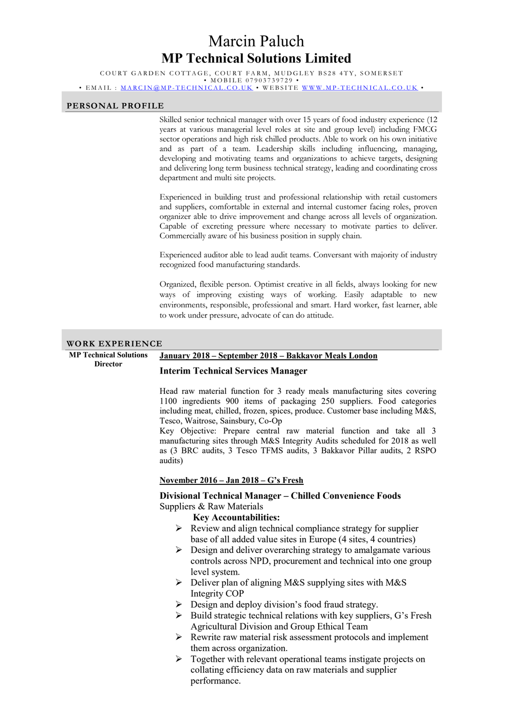# Marcin Paluch MP Technical Solutions Limited

COURT GARDEN COTTAGE, COURT FARM, MUDGLEY BS28 4TY, SOMERSET • MOBILE 07903739729 • EMAIL : MARCIN@MP-TECHNICAL.CO.UK • WEBSITE WWW.MP-TECHNICAL.CO.UK •

#### PERSONAL PROFILE

Skilled senior technical manager with over 15 years of food industry experience (12 years at various managerial level roles at site and group level) including FMCG sector operations and high risk chilled products. Able to work on his own initiative and as part of a team. Leadership skills including influencing, managing, developing and motivating teams and organizations to achieve targets, designing and delivering long term business technical strategy, leading and coordinating cross department and multi site projects.

Experienced in building trust and professional relationship with retail customers and suppliers, comfortable in external and internal customer facing roles, proven organizer able to drive improvement and change across all levels of organization. Capable of excreting pressure where necessary to motivate parties to deliver. Commercially aware of his business position in supply chain.

Experienced auditor able to lead audit teams. Conversant with majority of industry recognized food manufacturing standards.

Organized, flexible person. Optimist creative in all fields, always looking for new ways of improving existing ways of working. Easily adaptable to new environments, responsible, professional and smart. Hard worker, fast learner, able to work under pressure, advocate of can do attitude.

#### WORK EXPERIENCE

MP Technical Solutions **Director** 

# January 2018 – September 2018 – Bakkavor Meals London

### Interim Technical Services Manager

Head raw material function for 3 ready meals manufacturing sites covering 1100 ingredients 900 items of packaging 250 suppliers. Food categories including meat, chilled, frozen, spices, produce. Customer base including M&S, Tesco, Waitrose, Sainsbury, Co-Op

Key Objective: Prepare central raw material function and take all 3 manufacturing sites through M&S Integrity Audits scheduled for 2018 as well as (3 BRC audits, 3 Tesco TFMS audits, 3 Bakkavor Pillar audits, 2 RSPO audits)

### November 2016 – Jan 2018 – G's Fresh

## Divisional Technical Manager – Chilled Convenience Foods Suppliers & Raw Materials

Key Accountabilities:

- $\triangleright$  Review and align technical compliance strategy for supplier base of all added value sites in Europe (4 sites, 4 countries)
- $\triangleright$  Design and deliver overarching strategy to amalgamate various controls across NPD, procurement and technical into one group level system.
- $\triangleright$  Deliver plan of aligning M&S supplying sites with M&S Integrity COP
- Design and deploy division's food fraud strategy.
- $\triangleright$  Build strategic technical relations with key suppliers, G's Fresh Agricultural Division and Group Ethical Team
- $\triangleright$  Rewrite raw material risk assessment protocols and implement them across organization.
- $\triangleright$  Together with relevant operational teams instigate projects on collating efficiency data on raw materials and supplier performance.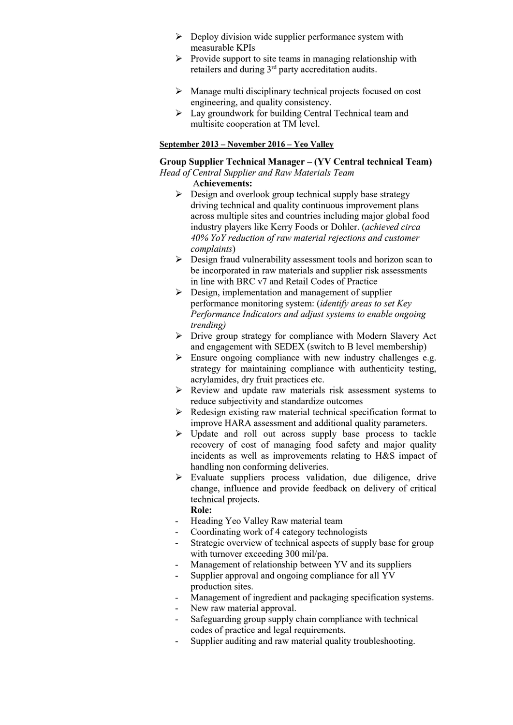- $\triangleright$  Deploy division wide supplier performance system with measurable KPIs
- $\triangleright$  Provide support to site teams in managing relationship with retailers and during 3rd party accreditation audits.
- $\triangleright$  Manage multi disciplinary technical projects focused on cost engineering, and quality consistency.
- $\triangleright$  Lay groundwork for building Central Technical team and multisite cooperation at TM level.

### September 2013 – November 2016 – Yeo Valley

### Group Supplier Technical Manager – (YV Central technical Team) Head of Central Supplier and Raw Materials Team

### Achievements:

- $\triangleright$  Design and overlook group technical supply base strategy driving technical and quality continuous improvement plans across multiple sites and countries including major global food industry players like Kerry Foods or Dohler. (achieved circa 40% YoY reduction of raw material rejections and customer complaints)
- $\triangleright$  Design fraud vulnerability assessment tools and horizon scan to be incorporated in raw materials and supplier risk assessments in line with BRC v7 and Retail Codes of Practice
- $\triangleright$  Design, implementation and management of supplier performance monitoring system: (identify areas to set Key Performance Indicators and adjust systems to enable ongoing trending)
- Drive group strategy for compliance with Modern Slavery Act and engagement with SEDEX (switch to B level membership)
- $\triangleright$  Ensure ongoing compliance with new industry challenges e.g. strategy for maintaining compliance with authenticity testing, acrylamides, dry fruit practices etc.
- Review and update raw materials risk assessment systems to reduce subjectivity and standardize outcomes
- $\triangleright$  Redesign existing raw material technical specification format to improve HARA assessment and additional quality parameters.
- Update and roll out across supply base process to tackle recovery of cost of managing food safety and major quality incidents as well as improvements relating to H&S impact of handling non conforming deliveries.
- $\triangleright$  Evaluate suppliers process validation, due diligence, drive change, influence and provide feedback on delivery of critical technical projects.

# Role:

- Heading Yeo Valley Raw material team
- Coordinating work of 4 category technologists
- Strategic overview of technical aspects of supply base for group with turnover exceeding 300 mil/pa.
- Management of relationship between YV and its suppliers
- Supplier approval and ongoing compliance for all YV production sites.
- Management of ingredient and packaging specification systems.
- New raw material approval.
- Safeguarding group supply chain compliance with technical codes of practice and legal requirements.
- Supplier auditing and raw material quality troubleshooting.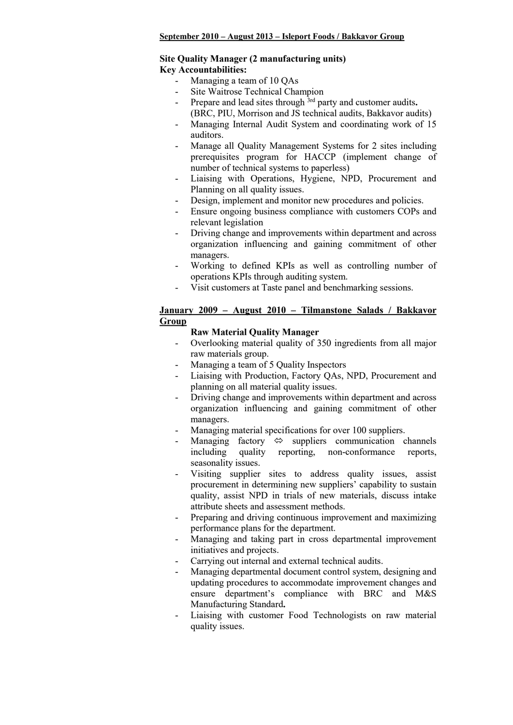### September 2010 – August 2013 – Isleport Foods / Bakkavor Group

### Site Quality Manager (2 manufacturing units) Key Accountabilities:

- Managing a team of 10 QAs
- Site Waitrose Technical Champion
- Prepare and lead sites through  $3rd$  party and customer audits. (BRC, PIU, Morrison and JS technical audits, Bakkavor audits)
- Managing Internal Audit System and coordinating work of 15 auditors.
- Manage all Quality Management Systems for 2 sites including prerequisites program for HACCP (implement change of number of technical systems to paperless)
- Liaising with Operations, Hygiene, NPD, Procurement and Planning on all quality issues.
- Design, implement and monitor new procedures and policies.
- Ensure ongoing business compliance with customers COPs and relevant legislation
- Driving change and improvements within department and across organization influencing and gaining commitment of other managers.
- Working to defined KPIs as well as controlling number of operations KPIs through auditing system.
- Visit customers at Taste panel and benchmarking sessions.

# January 2009 – August 2010 – Tilmanstone Salads / Bakkavor Group

# Raw Material Quality Manager

- Overlooking material quality of 350 ingredients from all major raw materials group.
- Managing a team of 5 Quality Inspectors
- Liaising with Production, Factory OAs, NPD, Procurement and planning on all material quality issues.
- Driving change and improvements within department and across organization influencing and gaining commitment of other managers.
- Managing material specifications for over 100 suppliers.
- Managing factory  $\Leftrightarrow$  suppliers communication channels including quality reporting, non-conformance reports, seasonality issues.
- Visiting supplier sites to address quality issues, assist procurement in determining new suppliers' capability to sustain quality, assist NPD in trials of new materials, discuss intake attribute sheets and assessment methods.
- Preparing and driving continuous improvement and maximizing performance plans for the department.
- Managing and taking part in cross departmental improvement initiatives and projects.
- Carrying out internal and external technical audits.
- Managing departmental document control system, designing and updating procedures to accommodate improvement changes and ensure department's compliance with BRC and M&S Manufacturing Standard.
- Liaising with customer Food Technologists on raw material quality issues.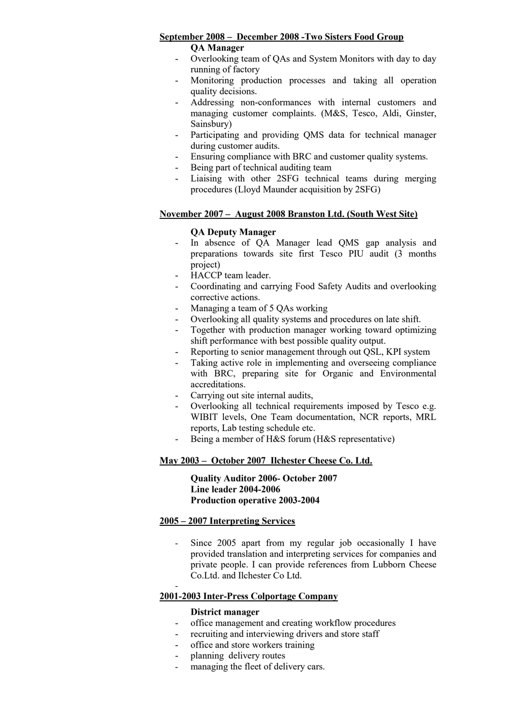# September 2008 – December 2008 -Two Sisters Food Group

QA Manager

- Overlooking team of QAs and System Monitors with day to day running of factory
- Monitoring production processes and taking all operation quality decisions.
- Addressing non-conformances with internal customers and managing customer complaints. (M&S, Tesco, Aldi, Ginster, Sainsbury)
- Participating and providing QMS data for technical manager during customer audits.
- Ensuring compliance with BRC and customer quality systems.
- Being part of technical auditing team
- Liaising with other 2SFG technical teams during merging procedures (Lloyd Maunder acquisition by 2SFG)

### November 2007 – August 2008 Branston Ltd. (South West Site)

### QA Deputy Manager

- In absence of QA Manager lead QMS gap analysis and preparations towards site first Tesco PIU audit (3 months project)
- HACCP team leader.
- Coordinating and carrying Food Safety Audits and overlooking corrective actions.
- Managing a team of 5 OAs working
- Overlooking all quality systems and procedures on late shift.
- Together with production manager working toward optimizing shift performance with best possible quality output.
- Reporting to senior management through out QSL, KPI system
- Taking active role in implementing and overseeing compliance with BRC, preparing site for Organic and Environmental accreditations.
- Carrying out site internal audits,
- Overlooking all technical requirements imposed by Tesco e.g. WIBIT levels, One Team documentation, NCR reports, MRL reports, Lab testing schedule etc.
- Being a member of H&S forum (H&S representative)

### May 2003 – October 2007 Ilchester Cheese Co. Ltd.

Quality Auditor 2006- October 2007 Line leader 2004-2006 Production operative 2003-2004

### 2005 – 2007 Interpreting Services

- Since 2005 apart from my regular job occasionally I have provided translation and interpreting services for companies and private people. I can provide references from Lubborn Cheese Co.Ltd. and Ilchester Co Ltd.

## 2001-2003 Inter-Press Colportage Company

### District manager

-

- office management and creating workflow procedures
- recruiting and interviewing drivers and store staff
- office and store workers training
- planning delivery routes
- managing the fleet of delivery cars.